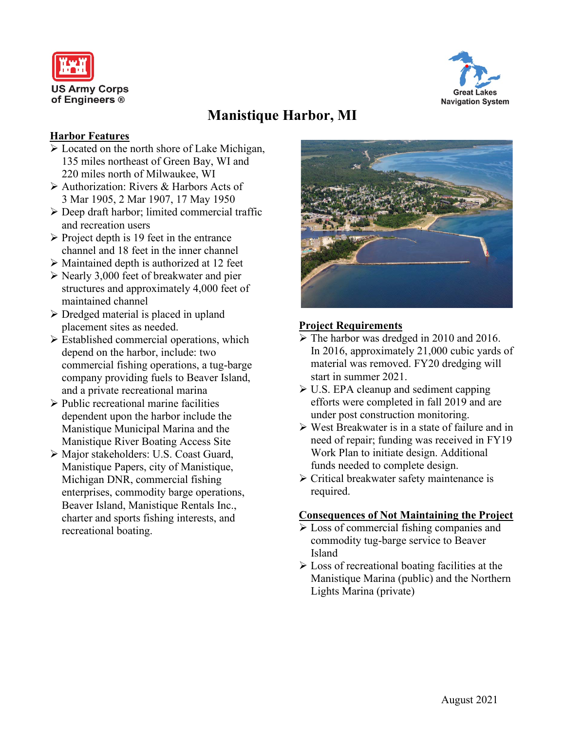



# **Manistique Harbor, MI**

#### **Harbor Features**

- Located on the north shore of Lake Michigan, 135 miles northeast of Green Bay, WI and 220 miles north of Milwaukee, WI
- Authorization: Rivers & Harbors Acts of 3 Mar 1905, 2 Mar 1907, 17 May 1950
- Deep draft harbor; limited commercial traffic and recreation users
- $\triangleright$  Project depth is 19 feet in the entrance channel and 18 feet in the inner channel
- $\triangleright$  Maintained depth is authorized at 12 feet
- $\triangleright$  Nearly 3,000 feet of breakwater and pier structures and approximately 4,000 feet of maintained channel
- $\triangleright$  Dredged material is placed in upland placement sites as needed.
- $\triangleright$  Established commercial operations, which depend on the harbor, include: two commercial fishing operations, a tug-barge company providing fuels to Beaver Island, and a private recreational marina
- $\triangleright$  Public recreational marine facilities dependent upon the harbor include the Manistique Municipal Marina and the Manistique River Boating Access Site
- Major stakeholders: U.S. Coast Guard, Manistique Papers, city of Manistique, Michigan DNR, commercial fishing enterprises, commodity barge operations, Beaver Island, Manistique Rentals Inc., charter and sports fishing interests, and recreational boating.



# **Project Requirements**

- The harbor was dredged in 2010 and 2016. In 2016, approximately 21,000 cubic yards of material was removed. FY20 dredging will start in summer 2021.
- $\triangleright$  U.S. EPA cleanup and sediment capping efforts were completed in fall 2019 and are under post construction monitoring.
- West Breakwater is in a state of failure and in need of repair; funding was received in FY19 Work Plan to initiate design. Additional funds needed to complete design.
- $\triangleright$  Critical breakwater safety maintenance is required.

# **Consequences of Not Maintaining the Project**

- Loss of commercial fishing companies and commodity tug-barge service to Beaver Island
- $\triangleright$  Loss of recreational boating facilities at the Manistique Marina (public) and the Northern Lights Marina (private)